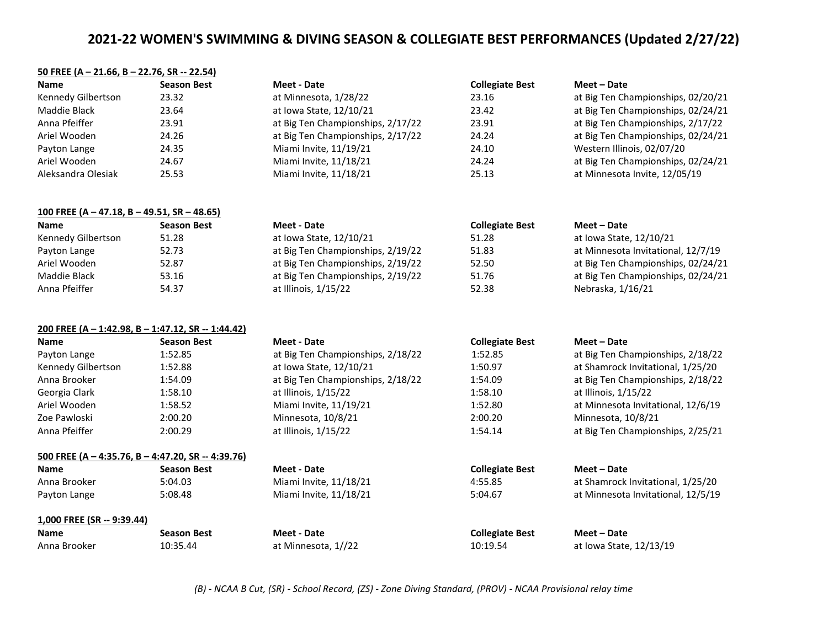### **50 FREE (A – 21.66, B – 22.76, SR -- 22.54)**

| <b>Name</b>        | <b>Season Best</b> | Meet - Date                       | <b>Collegiate Best</b> | Meet – Date                        |
|--------------------|--------------------|-----------------------------------|------------------------|------------------------------------|
| Kennedy Gilbertson | 23.32              | at Minnesota, 1/28/22             | 23.16                  | at Big Ten Championships, 02/20/21 |
| Maddie Black       | 23.64              | at Iowa State, 12/10/21           | 23.42                  | at Big Ten Championships, 02/24/21 |
| Anna Pfeiffer      | 23.91              | at Big Ten Championships, 2/17/22 | 23.91                  | at Big Ten Championships, 2/17/22  |
| Ariel Wooden       | 24.26              | at Big Ten Championships, 2/17/22 | 24.24                  | at Big Ten Championships, 02/24/21 |
| Payton Lange       | 24.35              | Miami Invite, 11/19/21            | 24.10                  | Western Illinois, 02/07/20         |
| Ariel Wooden       | 24.67              | Miami Invite, 11/18/21            | 24.24                  | at Big Ten Championships, 02/24/21 |
| Aleksandra Olesiak | 25.53              | Miami Invite, 11/18/21            | 25.13                  | at Minnesota Invite, 12/05/19      |

| 100 FREE (A - 47.18, B - 49.51, SR - 48.65) |                    |                                   |                        |                                    |
|---------------------------------------------|--------------------|-----------------------------------|------------------------|------------------------------------|
| <b>Name</b>                                 | <b>Season Best</b> | Meet - Date                       | <b>Collegiate Best</b> | Meet – Date                        |
| Kennedy Gilbertson                          | 51.28              | at Iowa State, 12/10/21           | 51.28                  | at Iowa State, 12/10/21            |
| Payton Lange                                | 52.73              | at Big Ten Championships, 2/19/22 | 51.83                  | at Minnesota Invitational, 12/7/19 |
| Ariel Wooden                                | 52.87              | at Big Ten Championships, 2/19/22 | 52.50                  | at Big Ten Championships, 02/24/21 |
| Maddie Black                                | 53.16              | at Big Ten Championships, 2/19/22 | 51.76                  | at Big Ten Championships, 02/24/21 |
| Anna Pfeiffer                               | 54.37              | at Illinois, 1/15/22              | 52.38                  | Nebraska, 1/16/21                  |

### **200 FREE (A – 1:42.98, B – 1:47.12, SR -- 1:44.42)**

| <b>Name</b>                                             | <b>Season Best</b> | Meet - Date                       | <b>Collegiate Best</b> | Meet - Date                        |
|---------------------------------------------------------|--------------------|-----------------------------------|------------------------|------------------------------------|
| Payton Lange                                            | 1:52.85            | at Big Ten Championships, 2/18/22 | 1:52.85                | at Big Ten Championships, 2/18/22  |
| Kennedy Gilbertson                                      | 1:52.88            | at Iowa State, 12/10/21           | 1:50.97                | at Shamrock Invitational, 1/25/20  |
| Anna Brooker                                            | 1:54.09            | at Big Ten Championships, 2/18/22 | 1:54.09                | at Big Ten Championships, 2/18/22  |
| Georgia Clark                                           | 1:58.10            | at Illinois, 1/15/22              | 1:58.10                | at Illinois, 1/15/22               |
| Ariel Wooden                                            | 1:58.52            | Miami Invite, 11/19/21            | 1:52.80                | at Minnesota Invitational, 12/6/19 |
| Zoe Pawloski                                            | 2:00.20            | Minnesota, 10/8/21                | 2:00.20                | Minnesota, 10/8/21                 |
| Anna Pfeiffer                                           | 2:00.29            | at Illinois, 1/15/22              | 1:54.14                | at Big Ten Championships, 2/25/21  |
| 500 FREE (A $-$ 4:35.76, B $-$ 4:47.20, SR $-$ 4:39.76) |                    |                                   |                        |                                    |
| <b>Name</b>                                             | <b>Season Best</b> | Meet - Date                       | <b>Collegiate Best</b> | Meet - Date                        |
| Anna Brooker                                            | 5:04.03            | Miami Invite, 11/18/21            | 4:55.85                | at Shamrock Invitational, 1/25/20  |
| Payton Lange                                            | 5:08.48            | Miami Invite, 11/18/21            | 5:04.67                | at Minnesota Invitational, 12/5/19 |

## **1,000 FREE (SR -- 9:39.44)**

| <b>Name</b>  | <b>Season Best</b> | Meet - Date         |
|--------------|--------------------|---------------------|
| Anna Brooker | 10:35.44           | at Minnesota, 1//22 |

**Name Season Best Meet - Date Collegiate Best Meet – Date**

10:19.54 at Iowa State, 12/13/19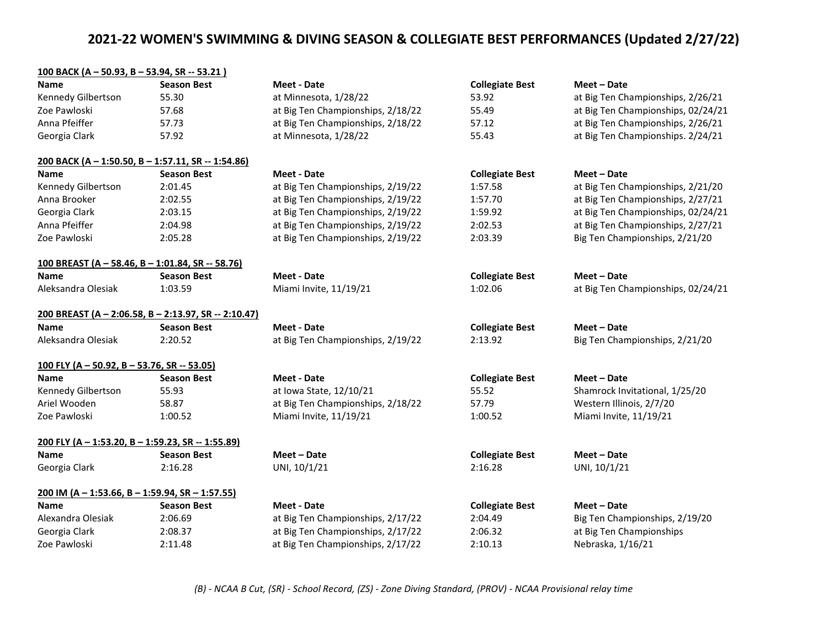| <u>100 BACK (A - 50.93, B - 53.94, SR -- 53.21)</u>     |                    |                                   |                        |                                    |
|---------------------------------------------------------|--------------------|-----------------------------------|------------------------|------------------------------------|
| <b>Name</b>                                             | <b>Season Best</b> | <b>Meet - Date</b>                | <b>Collegiate Best</b> | Meet - Date                        |
| Kennedy Gilbertson                                      | 55.30              | at Minnesota, 1/28/22             | 53.92                  | at Big Ten Championships, 2/26/21  |
| Zoe Pawloski                                            | 57.68              | at Big Ten Championships, 2/18/22 | 55.49                  | at Big Ten Championships, 02/24/21 |
| Anna Pfeiffer                                           | 57.73              | at Big Ten Championships, 2/18/22 | 57.12                  | at Big Ten Championships, 2/26/21  |
| Georgia Clark                                           | 57.92              | at Minnesota, 1/28/22             | 55.43                  | at Big Ten Championships. 2/24/21  |
| 200 BACK (A - 1:50.50, B - 1:57.11, SR -- 1:54.86)      |                    |                                   |                        |                                    |
| Name                                                    | <b>Season Best</b> | <b>Meet - Date</b>                | <b>Collegiate Best</b> | Meet – Date                        |
| Kennedy Gilbertson                                      | 2:01.45            | at Big Ten Championships, 2/19/22 | 1:57.58                | at Big Ten Championships, 2/21/20  |
| Anna Brooker                                            | 2:02.55            | at Big Ten Championships, 2/19/22 | 1:57.70                | at Big Ten Championships, 2/27/21  |
| Georgia Clark                                           | 2:03.15            | at Big Ten Championships, 2/19/22 | 1:59.92                | at Big Ten Championships, 02/24/21 |
| Anna Pfeiffer                                           | 2:04.98            | at Big Ten Championships, 2/19/22 | 2:02.53                | at Big Ten Championships, 2/27/21  |
| Zoe Pawloski                                            | 2:05.28            | at Big Ten Championships, 2/19/22 | 2:03.39                | Big Ten Championships, 2/21/20     |
| <u>100 BREAST (A - 58.46, B - 1:01.84, SR -- 58.76)</u> |                    |                                   |                        |                                    |
| <b>Name</b>                                             | <b>Season Best</b> | <b>Meet - Date</b>                | <b>Collegiate Best</b> | Meet - Date                        |
| Aleksandra Olesiak                                      | 1:03.59            | Miami Invite, 11/19/21            | 1:02.06                | at Big Ten Championships, 02/24/21 |
| 200 BREAST (A - 2:06.58, B - 2:13.97, SR -- 2:10.47)    |                    |                                   |                        |                                    |
| <b>Name</b>                                             | <b>Season Best</b> | <b>Meet - Date</b>                | <b>Collegiate Best</b> | Meet - Date                        |
| Aleksandra Olesiak                                      | 2:20.52            | at Big Ten Championships, 2/19/22 | 2:13.92                | Big Ten Championships, 2/21/20     |
| 100 FLY (A - 50.92, B - 53.76, SR -- 53.05)             |                    |                                   |                        |                                    |
| <b>Name</b>                                             | <b>Season Best</b> | <b>Meet - Date</b>                | <b>Collegiate Best</b> | Meet - Date                        |
| Kennedy Gilbertson                                      | 55.93              | at Iowa State, 12/10/21           | 55.52                  | Shamrock Invitational, 1/25/20     |
| Ariel Wooden                                            | 58.87              | at Big Ten Championships, 2/18/22 | 57.79                  | Western Illinois, 2/7/20           |
| Zoe Pawloski                                            | 1:00.52            | Miami Invite, 11/19/21            | 1:00.52                | Miami Invite, 11/19/21             |
| 200 FLY (A - 1:53.20, B - 1:59.23, SR -- 1:55.89)       |                    |                                   |                        |                                    |
| <b>Name</b>                                             | <b>Season Best</b> | Meet - Date                       | <b>Collegiate Best</b> | Meet - Date                        |
| Georgia Clark                                           | 2:16.28            | UNI, 10/1/21                      | 2:16.28                | UNI, 10/1/21                       |
| 200 IM (A - 1:53.66, B - 1:59.94, SR - 1:57.55)         |                    |                                   |                        |                                    |
| <b>Name</b>                                             | <b>Season Best</b> | <b>Meet - Date</b>                | <b>Collegiate Best</b> | Meet - Date                        |
| Alexandra Olesiak                                       | 2:06.69            | at Big Ten Championships, 2/17/22 | 2:04.49                | Big Ten Championships, 2/19/20     |
| Georgia Clark                                           | 2:08.37            | at Big Ten Championships, 2/17/22 | 2:06.32                | at Big Ten Championships           |
| Zoe Pawloski                                            | 2:11.48            | at Big Ten Championships, 2/17/22 | 2:10.13                | Nebraska, 1/16/21                  |

*(B) - NCAA B Cut, (SR) - School Record, (ZS) - Zone Diving Standard, (PROV) - NCAA Provisional relay time*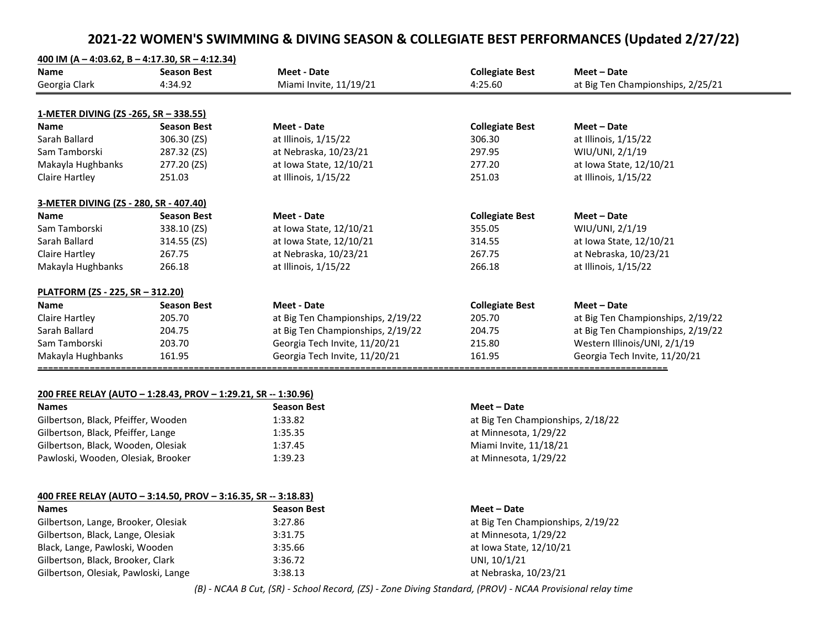| <b>Name</b>                            | <b>Season Best</b> | <b>Meet - Date</b>                | <b>Collegiate Best</b> | Meet - Date                       |
|----------------------------------------|--------------------|-----------------------------------|------------------------|-----------------------------------|
| Georgia Clark                          | 4:34.92            | Miami Invite, 11/19/21            | 4:25.60                | at Big Ten Championships, 2/25/21 |
|                                        |                    |                                   |                        |                                   |
| 1-METER DIVING (ZS -265, SR – 338.55)  |                    |                                   |                        |                                   |
| <b>Name</b>                            | <b>Season Best</b> | <b>Meet - Date</b>                | <b>Collegiate Best</b> | Meet - Date                       |
| Sarah Ballard                          | 306.30 (ZS)        | at Illinois, 1/15/22              | 306.30                 | at Illinois, 1/15/22              |
| Sam Tamborski                          | 287.32 (ZS)        | at Nebraska, 10/23/21             | 297.95                 | WIU/UNI, 2/1/19                   |
| Makayla Hughbanks                      | 277.20 (ZS)        | at Iowa State, 12/10/21           | 277.20                 | at Iowa State, 12/10/21           |
| <b>Claire Hartley</b>                  | 251.03             | at Illinois, 1/15/22              | 251.03                 | at Illinois, 1/15/22              |
| 3-METER DIVING (ZS - 280, SR - 407.40) |                    |                                   |                        |                                   |
| <b>Name</b>                            | <b>Season Best</b> | <b>Meet - Date</b>                | <b>Collegiate Best</b> | Meet - Date                       |
| Sam Tamborski                          | 338.10 (ZS)        | at Iowa State, 12/10/21           | 355.05                 | WIU/UNI, 2/1/19                   |
| Sarah Ballard                          | 314.55 (ZS)        | at Iowa State, 12/10/21           | 314.55                 | at Iowa State, 12/10/21           |
| <b>Claire Hartley</b>                  | 267.75             | at Nebraska, 10/23/21             | 267.75                 | at Nebraska, 10/23/21             |
| Makayla Hughbanks                      | 266.18             | at Illinois, 1/15/22              | 266.18                 | at Illinois, 1/15/22              |
| PLATFORM (ZS - 225, SR - 312.20)       |                    |                                   |                        |                                   |
| <b>Name</b>                            | <b>Season Best</b> | <b>Meet - Date</b>                | <b>Collegiate Best</b> | Meet - Date                       |
| <b>Claire Hartley</b>                  | 205.70             | at Big Ten Championships, 2/19/22 | 205.70                 | at Big Ten Championships, 2/19/22 |
| Sarah Ballard                          | 204.75             | at Big Ten Championships, 2/19/22 | 204.75                 | at Big Ten Championships, 2/19/22 |
| Sam Tamborski                          | 203.70             | Georgia Tech Invite, 11/20/21     | 215.80                 | Western Illinois/UNI, 2/1/19      |
| Makayla Hughbanks                      | 161.95             | Georgia Tech Invite, 11/20/21     | 161.95                 | Georgia Tech Invite, 11/20/21     |

| <b>Names</b>                        | <b>Season Best</b> | Meet – Date                       |
|-------------------------------------|--------------------|-----------------------------------|
| Gilbertson, Black, Pfeiffer, Wooden | 1:33.82            | at Big Ten Championships, 2/18/22 |
| Gilbertson, Black, Pfeiffer, Lange  | 1:35.35            | at Minnesota, 1/29/22             |
| Gilbertson, Black, Wooden, Olesiak  | 1:37.45            | Miami Invite, 11/18/21            |
| Pawloski, Wooden, Olesiak, Brooker  | 1:39.23            | at Minnesota, 1/29/22             |

## **400 FREE RELAY (AUTO – 3:14.50, PROV – 3:16.35, SR -- 3:18.83)**

| <b>Names</b>                         | <b>Season Best</b> | Meet – Date                       |
|--------------------------------------|--------------------|-----------------------------------|
| Gilbertson, Lange, Brooker, Olesiak  | 3:27.86            | at Big Ten Championships, 2/19/22 |
| Gilbertson, Black, Lange, Olesiak    | 3:31.75            | at Minnesota, 1/29/22             |
| Black, Lange, Pawloski, Wooden       | 3:35.66            | at Iowa State, 12/10/21           |
| Gilbertson, Black, Brooker, Clark    | 3:36.72            | UNI, 10/1/21                      |
| Gilbertson, Olesiak, Pawloski, Lange | 3:38.13            | at Nebraska, 10/23/21             |

*(B) - NCAA B Cut, (SR) - School Record, (ZS) - Zone Diving Standard, (PROV) - NCAA Provisional relay time*